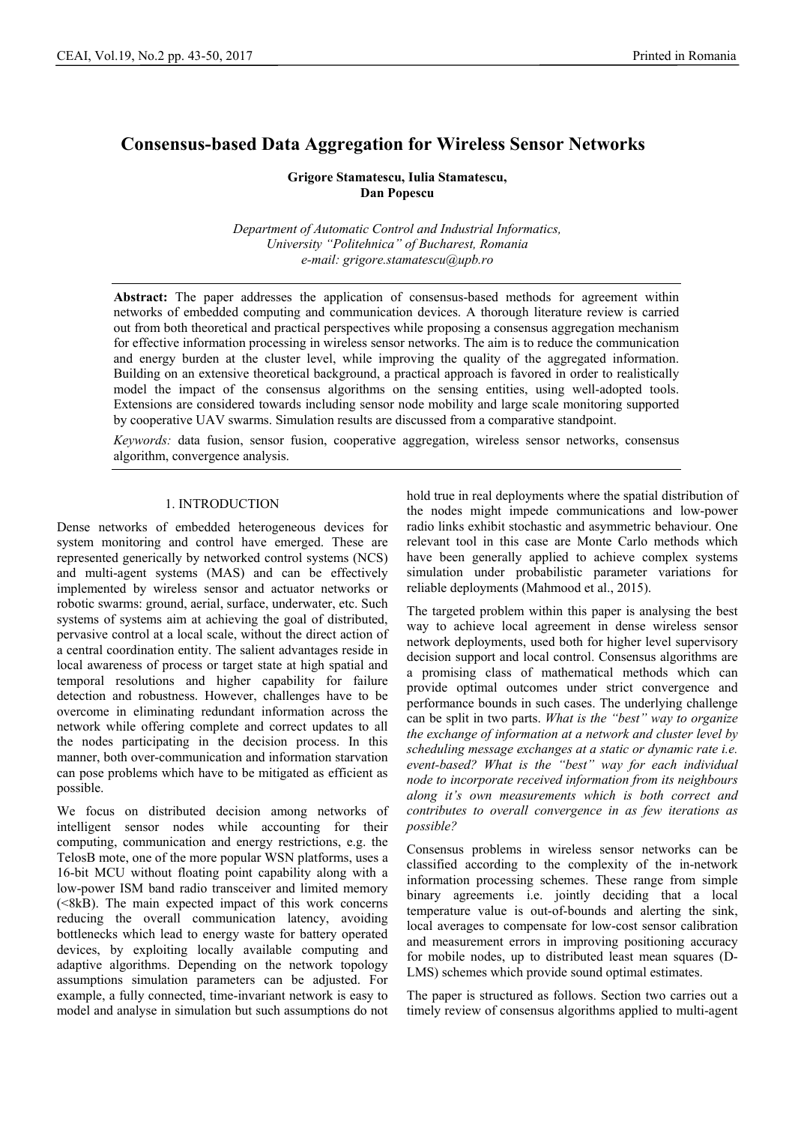# **Consensus-based Data Aggregation for Wireless Sensor Networks**

**Grigore Stamatescu, Iulia Stamatescu, Dan Popescu** 

*Department of Automatic Control and Industrial Informatics, University "Politehnica" of Bucharest, Romania e-mail: grigore.stamatescu@upb.ro* 

**Abstract:** The paper addresses the application of consensus-based methods for agreement within networks of embedded computing and communication devices. A thorough literature review is carried out from both theoretical and practical perspectives while proposing a consensus aggregation mechanism for effective information processing in wireless sensor networks. The aim is to reduce the communication and energy burden at the cluster level, while improving the quality of the aggregated information. Building on an extensive theoretical background, a practical approach is favored in order to realistically model the impact of the consensus algorithms on the sensing entities, using well-adopted tools. Extensions are considered towards including sensor node mobility and large scale monitoring supported by cooperative UAV swarms. Simulation results are discussed from a comparative standpoint.

*Keywords:* data fusion, sensor fusion, cooperative aggregation, wireless sensor networks, consensus algorithm, convergence analysis.

## 1. INTRODUCTION

Dense networks of embedded heterogeneous devices for system monitoring and control have emerged. These are represented generically by networked control systems (NCS) and multi-agent systems (MAS) and can be effectively implemented by wireless sensor and actuator networks or robotic swarms: ground, aerial, surface, underwater, etc. Such systems of systems aim at achieving the goal of distributed, pervasive control at a local scale, without the direct action of a central coordination entity. The salient advantages reside in local awareness of process or target state at high spatial and temporal resolutions and higher capability for failure detection and robustness. However, challenges have to be overcome in eliminating redundant information across the network while offering complete and correct updates to all the nodes participating in the decision process. In this manner, both over-communication and information starvation can pose problems which have to be mitigated as efficient as possible.

We focus on distributed decision among networks of intelligent sensor nodes while accounting for their computing, communication and energy restrictions, e.g. the TelosB mote, one of the more popular WSN platforms, uses a 16-bit MCU without floating point capability along with a low-power ISM band radio transceiver and limited memory  $( $8kB$ ). The main expected impact of this work concerns$ reducing the overall communication latency, avoiding bottlenecks which lead to energy waste for battery operated devices, by exploiting locally available computing and adaptive algorithms. Depending on the network topology assumptions simulation parameters can be adjusted. For example, a fully connected, time-invariant network is easy to model and analyse in simulation but such assumptions do not

hold true in real deployments where the spatial distribution of the nodes might impede communications and low-power radio links exhibit stochastic and asymmetric behaviour. One relevant tool in this case are Monte Carlo methods which have been generally applied to achieve complex systems simulation under probabilistic parameter variations for reliable deployments (Mahmood et al., 2015).

The targeted problem within this paper is analysing the best way to achieve local agreement in dense wireless sensor network deployments, used both for higher level supervisory decision support and local control. Consensus algorithms are a promising class of mathematical methods which can provide optimal outcomes under strict convergence and performance bounds in such cases. The underlying challenge can be split in two parts. *What is the "best" way to organize the exchange of information at a network and cluster level by scheduling message exchanges at a static or dynamic rate i.e. event-based? What is the "best" way for each individual node to incorporate received information from its neighbours along it's own measurements which is both correct and contributes to overall convergence in as few iterations as possible?*

Consensus problems in wireless sensor networks can be classified according to the complexity of the in-network information processing schemes. These range from simple binary agreements i.e. jointly deciding that a local temperature value is out-of-bounds and alerting the sink, local averages to compensate for low-cost sensor calibration and measurement errors in improving positioning accuracy for mobile nodes, up to distributed least mean squares (D-LMS) schemes which provide sound optimal estimates.

The paper is structured as follows. Section two carries out a timely review of consensus algorithms applied to multi-agent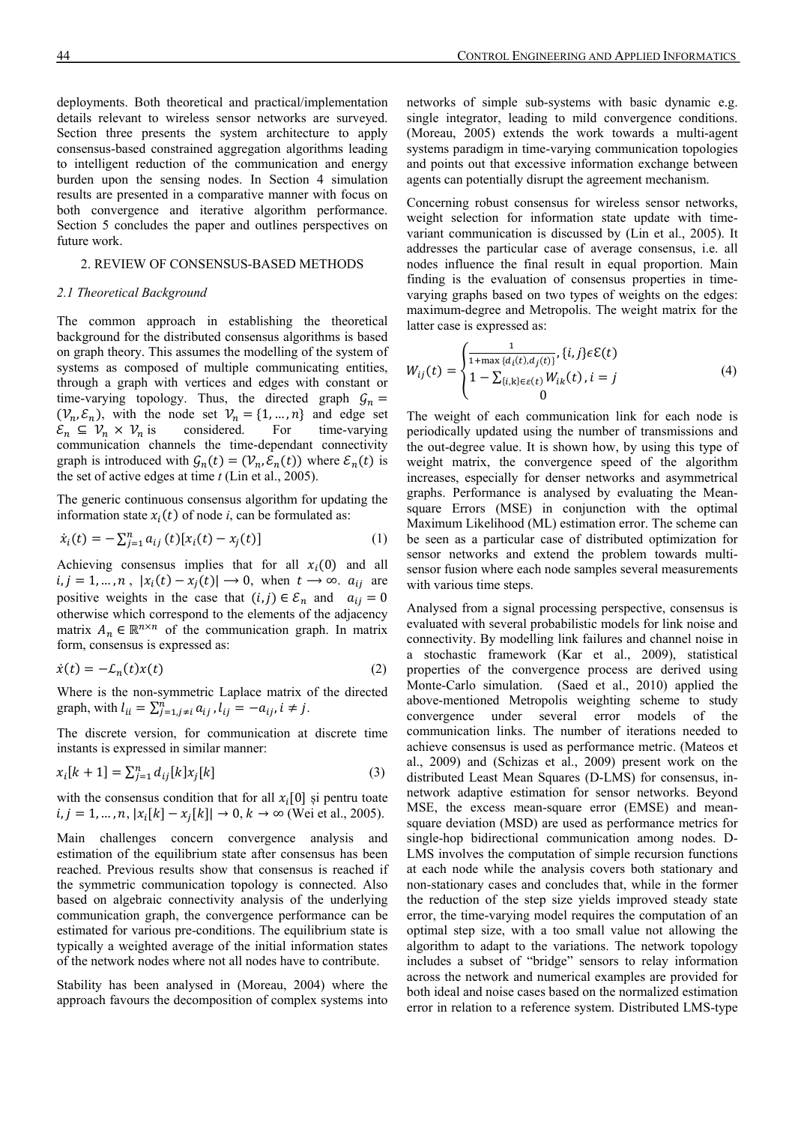deployments. Both theoretical and practical/implementation details relevant to wireless sensor networks are surveyed. Section three presents the system architecture to apply consensus-based constrained aggregation algorithms leading to intelligent reduction of the communication and energy burden upon the sensing nodes. In Section 4 simulation results are presented in a comparative manner with focus on both convergence and iterative algorithm performance. Section 5 concludes the paper and outlines perspectives on future work.

# 2. REVIEW OF CONSENSUS-BASED METHODS

#### *2.1 Theoretical Background*

The common approach in establishing the theoretical background for the distributed consensus algorithms is based on graph theory. This assumes the modelling of the system of systems as composed of multiple communicating entities, through a graph with vertices and edges with constant or time-varying topology. Thus, the directed graph  $\mathcal{G}_n =$  $(\mathcal{V}_n, \mathcal{E}_n)$ , with the node set  $\mathcal{V}_n = \{1, ..., n\}$  and edge set  $\mathcal{E}_n \subseteq \mathcal{V}_n \times \mathcal{V}_n$  is considered. For time-varying communication channels the time-dependant connectivity graph is introduced with  $G_n(t) = (\mathcal{V}_n, \mathcal{E}_n(t))$  where  $\mathcal{E}_n(t)$  is the set of active edges at time *t* (Lin et al., 2005).

The generic continuous consensus algorithm for updating the information state  $x_i(t)$  of node *i*, can be formulated as:

$$
\dot{x}_i(t) = -\sum_{j=1}^n a_{ij}(t) [x_i(t) - x_j(t)] \tag{1}
$$

Achieving consensus implies that for all  $x_i(0)$  and all  $i, j = 1, ..., n$ ,  $|x_i(t) - x_j(t)| \rightarrow 0$ , when  $t \rightarrow \infty$ .  $a_{ij}$  are positive weights in the case that  $(i, j) \in \mathcal{E}_n$  and  $a_{ij} = 0$ otherwise which correspond to the elements of the adjacency matrix  $A_n \in \mathbb{R}^{n \times n}$  of the communication graph. In matrix form, consensus is expressed as:

$$
\dot{x}(t) = -\mathcal{L}_n(t)x(t) \tag{2}
$$

Where is the non-symmetric Laplace matrix of the directed graph, with  $l_{ii} = \sum_{j=1, j\neq i}^{n} a_{ij}$ ,  $l_{ij} = -a_{ij}$ ,  $i \neq j$ .

The discrete version, for communication at discrete time instants is expressed in similar manner:

$$
x_i[k+1] = \sum_{j=1}^{n} d_{ij}[k] x_j[k]
$$
 (3)

with the consensus condition that for all  $x_i[0]$  și pentru toate  $i, j = 1, ..., n, |x_i[k] - x_j[k]| \rightarrow 0, k \rightarrow \infty$  (Wei et al., 2005).

Main challenges concern convergence analysis and estimation of the equilibrium state after consensus has been reached. Previous results show that consensus is reached if the symmetric communication topology is connected. Also based on algebraic connectivity analysis of the underlying communication graph, the convergence performance can be estimated for various pre-conditions. The equilibrium state is typically a weighted average of the initial information states of the network nodes where not all nodes have to contribute.

Stability has been analysed in (Moreau, 2004) where the approach favours the decomposition of complex systems into networks of simple sub-systems with basic dynamic e.g. single integrator, leading to mild convergence conditions. (Moreau, 2005) extends the work towards a multi-agent systems paradigm in time-varying communication topologies and points out that excessive information exchange between agents can potentially disrupt the agreement mechanism.

Concerning robust consensus for wireless sensor networks, weight selection for information state update with timevariant communication is discussed by (Lin et al., 2005). It addresses the particular case of average consensus, i.e. all nodes influence the final result in equal proportion. Main finding is the evaluation of consensus properties in timevarying graphs based on two types of weights on the edges: maximum-degree and Metropolis. The weight matrix for the latter case is expressed as:

$$
W_{ij}(t) = \begin{cases} \frac{1}{1 + \max \{d_i(t), d_j(t)\}}, \{i, j\} \in \mathcal{E}(t) \\ 1 - \sum_{\{i, k\} \in \varepsilon(t)} W_{ik}(t), i = j \\ 0 \end{cases}
$$
(4)

The weight of each communication link for each node is periodically updated using the number of transmissions and the out-degree value. It is shown how, by using this type of weight matrix, the convergence speed of the algorithm increases, especially for denser networks and asymmetrical graphs. Performance is analysed by evaluating the Meansquare Errors (MSE) in conjunction with the optimal Maximum Likelihood (ML) estimation error. The scheme can be seen as a particular case of distributed optimization for sensor networks and extend the problem towards multisensor fusion where each node samples several measurements with various time steps.

Analysed from a signal processing perspective, consensus is evaluated with several probabilistic models for link noise and connectivity. By modelling link failures and channel noise in a stochastic framework (Kar et al., 2009), statistical properties of the convergence process are derived using Monte-Carlo simulation. (Saed et al., 2010) applied the above-mentioned Metropolis weighting scheme to study convergence under several error models of the communication links. The number of iterations needed to achieve consensus is used as performance metric. (Mateos et al., 2009) and (Schizas et al., 2009) present work on the distributed Least Mean Squares (D-LMS) for consensus, innetwork adaptive estimation for sensor networks. Beyond MSE, the excess mean-square error (EMSE) and meansquare deviation (MSD) are used as performance metrics for single-hop bidirectional communication among nodes. D-LMS involves the computation of simple recursion functions at each node while the analysis covers both stationary and non-stationary cases and concludes that, while in the former the reduction of the step size yields improved steady state error, the time-varying model requires the computation of an optimal step size, with a too small value not allowing the algorithm to adapt to the variations. The network topology includes a subset of "bridge" sensors to relay information across the network and numerical examples are provided for both ideal and noise cases based on the normalized estimation error in relation to a reference system. Distributed LMS-type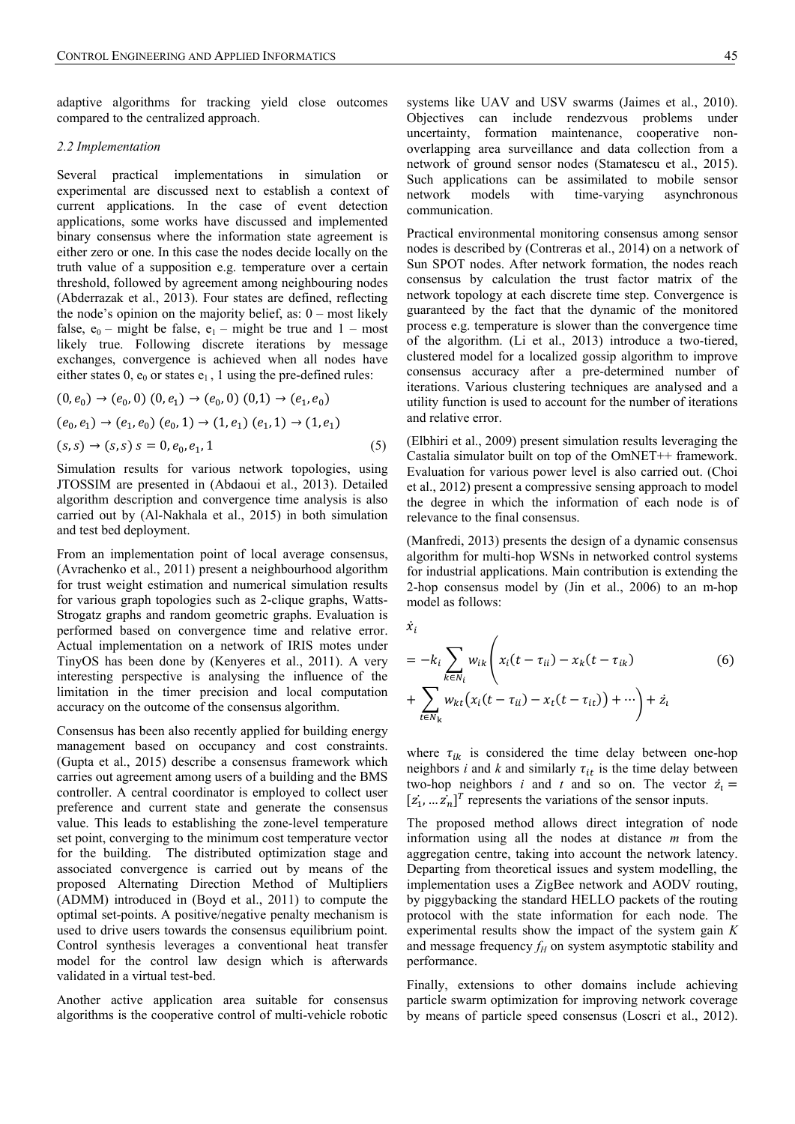adaptive algorithms for tracking yield close outcomes compared to the centralized approach.

#### *2.2 Implementation*

Several practical implementations in simulation or experimental are discussed next to establish a context of current applications. In the case of event detection applications, some works have discussed and implemented binary consensus where the information state agreement is either zero or one. In this case the nodes decide locally on the truth value of a supposition e.g. temperature over a certain threshold, followed by agreement among neighbouring nodes (Abderrazak et al., 2013). Four states are defined, reflecting the node's opinion on the majority belief, as:  $0$  – most likely false,  $e_0$  – might be false,  $e_1$  – might be true and 1 – most likely true. Following discrete iterations by message exchanges, convergence is achieved when all nodes have either states  $0$ ,  $e_0$  or states  $e_1$ , 1 using the pre-defined rules:

$$
(0, e_0) \rightarrow (e_0, 0) (0, e_1) \rightarrow (e_0, 0) (0, 1) \rightarrow (e_1, e_0)
$$
  
\n
$$
(e_0, e_1) \rightarrow (e_1, e_0) (e_0, 1) \rightarrow (1, e_1) (e_1, 1) \rightarrow (1, e_1)
$$
  
\n
$$
(s, s) \rightarrow (s, s) s = 0, e_0, e_1, 1
$$
\n(5)

Simulation results for various network topologies, using JTOSSIM are presented in (Abdaoui et al., 2013). Detailed algorithm description and convergence time analysis is also carried out by (Al-Nakhala et al., 2015) in both simulation and test bed deployment.

From an implementation point of local average consensus, (Avrachenko et al., 2011) present a neighbourhood algorithm for trust weight estimation and numerical simulation results for various graph topologies such as 2-clique graphs, Watts-Strogatz graphs and random geometric graphs. Evaluation is performed based on convergence time and relative error. Actual implementation on a network of IRIS motes under TinyOS has been done by (Kenyeres et al., 2011). A very interesting perspective is analysing the influence of the limitation in the timer precision and local computation accuracy on the outcome of the consensus algorithm.

Consensus has been also recently applied for building energy management based on occupancy and cost constraints. (Gupta et al., 2015) describe a consensus framework which carries out agreement among users of a building and the BMS controller. A central coordinator is employed to collect user preference and current state and generate the consensus value. This leads to establishing the zone-level temperature set point, converging to the minimum cost temperature vector for the building. The distributed optimization stage and associated convergence is carried out by means of the proposed Alternating Direction Method of Multipliers (ADMM) introduced in (Boyd et al., 2011) to compute the optimal set-points. A positive/negative penalty mechanism is used to drive users towards the consensus equilibrium point. Control synthesis leverages a conventional heat transfer model for the control law design which is afterwards validated in a virtual test-bed.

Another active application area suitable for consensus algorithms is the cooperative control of multi-vehicle robotic systems like UAV and USV swarms (Jaimes et al., 2010). Objectives can include rendezvous problems under uncertainty, formation maintenance, cooperative nonoverlapping area surveillance and data collection from a network of ground sensor nodes (Stamatescu et al., 2015). Such applications can be assimilated to mobile sensor network models with time-varying asynchronous communication.

Practical environmental monitoring consensus among sensor nodes is described by (Contreras et al., 2014) on a network of Sun SPOT nodes. After network formation, the nodes reach consensus by calculation the trust factor matrix of the network topology at each discrete time step. Convergence is guaranteed by the fact that the dynamic of the monitored process e.g. temperature is slower than the convergence time of the algorithm. (Li et al., 2013) introduce a two-tiered, clustered model for a localized gossip algorithm to improve consensus accuracy after a pre-determined number of iterations. Various clustering techniques are analysed and a utility function is used to account for the number of iterations and relative error.

(Elbhiri et al., 2009) present simulation results leveraging the Castalia simulator built on top of the OmNET++ framework. Evaluation for various power level is also carried out. (Choi et al., 2012) present a compressive sensing approach to model the degree in which the information of each node is of relevance to the final consensus.

(Manfredi, 2013) presents the design of a dynamic consensus algorithm for multi-hop WSNs in networked control systems for industrial applications. Main contribution is extending the 2-hop consensus model by (Jin et al., 2006) to an m-hop model as follows:

$$
\dot{x}_i
$$
\n
$$
= -k_i \sum_{k \in N_i} w_{ik} \left( x_i (t - \tau_{ii}) - x_k (t - \tau_{ik}) \right)
$$
\n
$$
+ \sum_{t \in N_k} w_{kt} \left( x_i (t - \tau_{ii}) - x_t (t - \tau_{it}) \right) + \cdots \right) + \dot{z}_i
$$
\n(6)

where  $\tau_{ik}$  is considered the time delay between one-hop neighbors *i* and *k* and similarly  $\tau_{it}$  is the time delay between two-hop neighbors *i* and *t* and so on. The vector  $\dot{z}_i$  =  $[z_1, ... z_n]^T$  represents the variations of the sensor inputs.

The proposed method allows direct integration of node information using all the nodes at distance *m* from the aggregation centre, taking into account the network latency. Departing from theoretical issues and system modelling, the implementation uses a ZigBee network and AODV routing, by piggybacking the standard HELLO packets of the routing protocol with the state information for each node. The experimental results show the impact of the system gain *K* and message frequency  $f_H$  on system asymptotic stability and performance.

Finally, extensions to other domains include achieving particle swarm optimization for improving network coverage by means of particle speed consensus (Loscri et al., 2012).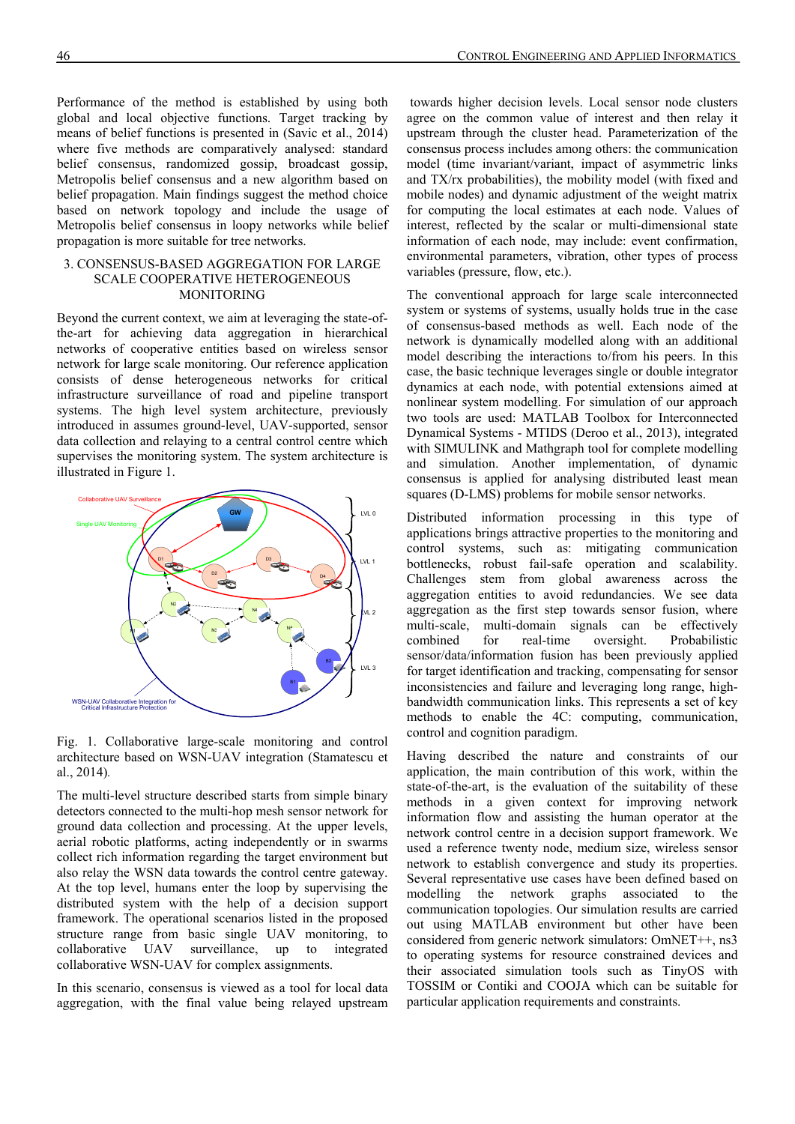Performance of the method is established by using both global and local objective functions. Target tracking by means of belief functions is presented in (Savic et al., 2014) where five methods are comparatively analysed: standard belief consensus, randomized gossip, broadcast gossip, Metropolis belief consensus and a new algorithm based on belief propagation. Main findings suggest the method choice based on network topology and include the usage of Metropolis belief consensus in loopy networks while belief propagation is more suitable for tree networks.

# 3. CONSENSUS-BASED AGGREGATION FOR LARGE SCALE COOPERATIVE HETEROGENEOUS MONITORING

Beyond the current context, we aim at leveraging the state-ofthe-art for achieving data aggregation in hierarchical networks of cooperative entities based on wireless sensor network for large scale monitoring. Our reference application consists of dense heterogeneous networks for critical infrastructure surveillance of road and pipeline transport systems. The high level system architecture, previously introduced in assumes ground-level, UAV-supported, sensor data collection and relaying to a central control centre which supervises the monitoring system. The system architecture is illustrated in Figure 1.



Fig. 1. Collaborative large-scale monitoring and control architecture based on WSN-UAV integration (Stamatescu et al., 2014)*.*

The multi-level structure described starts from simple binary detectors connected to the multi-hop mesh sensor network for ground data collection and processing. At the upper levels, aerial robotic platforms, acting independently or in swarms collect rich information regarding the target environment but also relay the WSN data towards the control centre gateway. At the top level, humans enter the loop by supervising the distributed system with the help of a decision support framework. The operational scenarios listed in the proposed structure range from basic single UAV monitoring, to collaborative UAV surveillance, up to integrated collaborative WSN-UAV for complex assignments.

In this scenario, consensus is viewed as a tool for local data aggregation, with the final value being relayed upstream

 towards higher decision levels. Local sensor node clusters agree on the common value of interest and then relay it upstream through the cluster head. Parameterization of the consensus process includes among others: the communication model (time invariant/variant, impact of asymmetric links and TX/rx probabilities), the mobility model (with fixed and mobile nodes) and dynamic adjustment of the weight matrix for computing the local estimates at each node. Values of interest, reflected by the scalar or multi-dimensional state information of each node, may include: event confirmation, environmental parameters, vibration, other types of process variables (pressure, flow, etc.).

The conventional approach for large scale interconnected system or systems of systems, usually holds true in the case of consensus-based methods as well. Each node of the network is dynamically modelled along with an additional model describing the interactions to/from his peers. In this case, the basic technique leverages single or double integrator dynamics at each node, with potential extensions aimed at nonlinear system modelling. For simulation of our approach two tools are used: MATLAB Toolbox for Interconnected Dynamical Systems - MTIDS (Deroo et al., 2013), integrated with SIMULINK and Mathgraph tool for complete modelling and simulation. Another implementation, of dynamic consensus is applied for analysing distributed least mean squares (D-LMS) problems for mobile sensor networks.

Distributed information processing in this type of applications brings attractive properties to the monitoring and control systems, such as: mitigating communication bottlenecks, robust fail-safe operation and scalability. Challenges stem from global awareness across the aggregation entities to avoid redundancies. We see data aggregation as the first step towards sensor fusion, where multi-scale, multi-domain signals can be effectively combined for real-time oversight. Probabilistic sensor/data/information fusion has been previously applied for target identification and tracking, compensating for sensor inconsistencies and failure and leveraging long range, highbandwidth communication links. This represents a set of key methods to enable the 4C: computing, communication, control and cognition paradigm.

Having described the nature and constraints of our application, the main contribution of this work, within the state-of-the-art, is the evaluation of the suitability of these methods in a given context for improving network information flow and assisting the human operator at the network control centre in a decision support framework. We used a reference twenty node, medium size, wireless sensor network to establish convergence and study its properties. Several representative use cases have been defined based on modelling the network graphs associated to the communication topologies. Our simulation results are carried out using MATLAB environment but other have been considered from generic network simulators: OmNET++, ns3 to operating systems for resource constrained devices and their associated simulation tools such as TinyOS with TOSSIM or Contiki and COOJA which can be suitable for particular application requirements and constraints.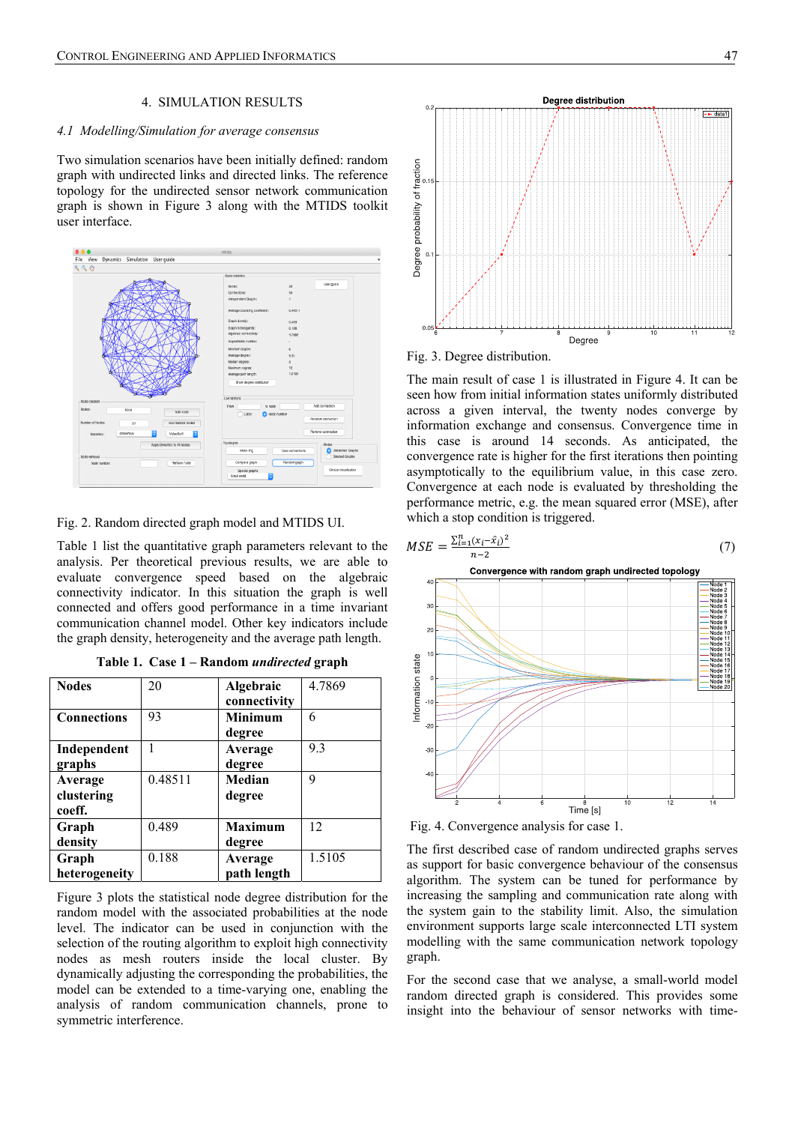#### 4. SIMULATION RESULTS

## *4.1 Modelling/Simulation for average consensus*

Two simulation scenarios have been initially defined: random graph with undirected links and directed links. The reference topology for the undirected sensor network communication graph is shown in Figure 3 along with the MTIDS toolkit user interface.



Fig. 2. Random directed graph model and MTIDS UI.

Table 1 list the quantitative graph parameters relevant to the analysis. Per theoretical previous results, we are able to evaluate convergence speed based on the algebraic connectivity indicator. In this situation the graph is well connected and offers good performance in a time invariant communication channel model. Other key indicators include the graph density, heterogeneity and the average path length.

| <b>Nodes</b>       | 20      | Algebraic      | 4.7869 |
|--------------------|---------|----------------|--------|
|                    |         | connectivity   |        |
| <b>Connections</b> | 93      | <b>Minimum</b> | 6      |
|                    |         | degree         |        |
| Independent        |         | Average        | 9.3    |
| graphs             |         | degree         |        |
| Average            | 0.48511 | Median         | q      |
| clustering         |         | degree         |        |
| coeff.             |         |                |        |
| Graph              | 0.489   | <b>Maximum</b> | 12     |
| density            |         | degree         |        |
| Graph              | 0.188   | Average        | 1.5105 |
| heterogeneity      |         | path length    |        |

**Table 1. Case 1 – Random** *undirected* **graph** 

Figure 3 plots the statistical node degree distribution for the random model with the associated probabilities at the node level. The indicator can be used in conjunction with the selection of the routing algorithm to exploit high connectivity nodes as mesh routers inside the local cluster. By dynamically adjusting the corresponding the probabilities, the model can be extended to a time-varying one, enabling the analysis of random communication channels, prone to symmetric interference.



Fig. 3. Degree distribution.

The main result of case 1 is illustrated in Figure 4. It can be seen how from initial information states uniformly distributed across a given interval, the twenty nodes converge by information exchange and consensus. Convergence time in this case is around 14 seconds. As anticipated, the convergence rate is higher for the first iterations then pointing asymptotically to the equilibrium value, in this case zero. Convergence at each node is evaluated by thresholding the performance metric, e.g. the mean squared error (MSE), after which a stop condition is triggered.



Fig. 4. Convergence analysis for case 1.

The first described case of random undirected graphs serves as support for basic convergence behaviour of the consensus algorithm. The system can be tuned for performance by increasing the sampling and communication rate along with the system gain to the stability limit. Also, the simulation environment supports large scale interconnected LTI system modelling with the same communication network topology graph.

For the second case that we analyse, a small-world model random directed graph is considered. This provides some insight into the behaviour of sensor networks with time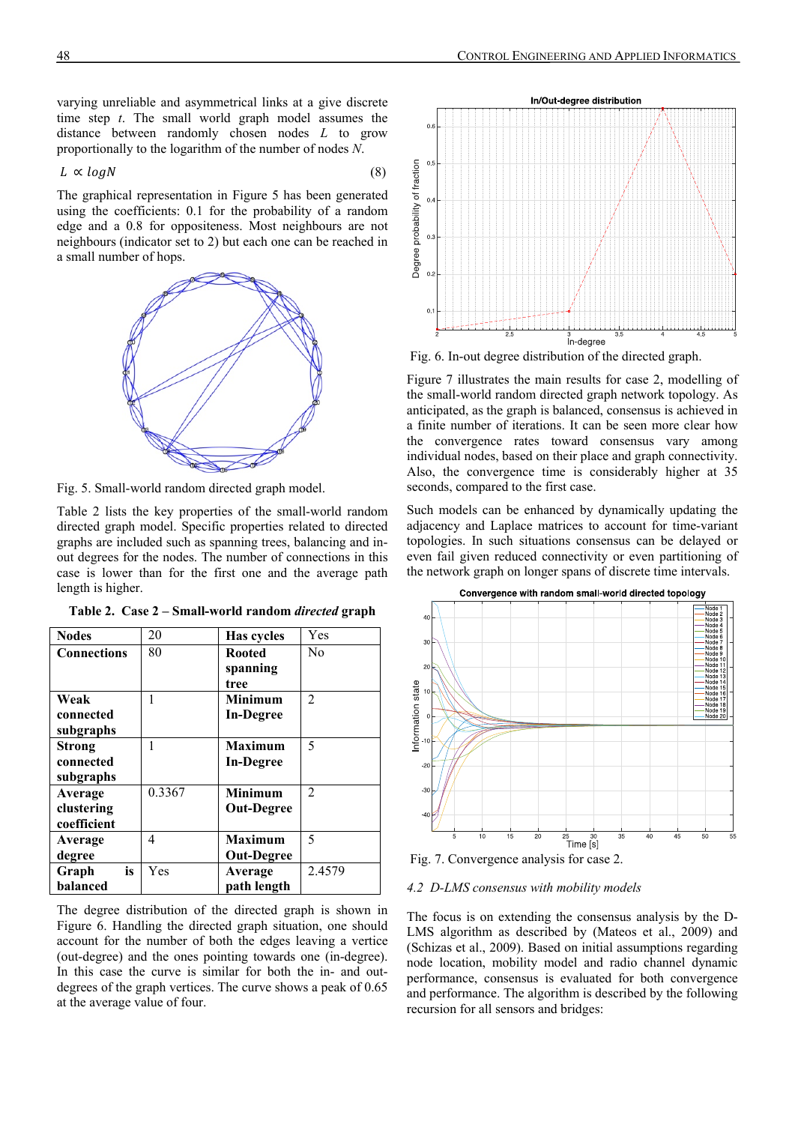varying unreliable and asymmetrical links at a give discrete time step *t*. The small world graph model assumes the distance between randomly chosen nodes *L* to grow proportionally to the logarithm of the number of nodes *N*.

$$
L \propto logN \tag{8}
$$

The graphical representation in Figure 5 has been generated using the coefficients: 0.1 for the probability of a random edge and a 0.8 for oppositeness. Most neighbours are not neighbours (indicator set to 2) but each one can be reached in a small number of hops.



Fig. 5. Small-world random directed graph model.

**Nodes** 20 **Has cycles** Yes

**Connections** 80 **Rooted** 

Table 2 lists the key properties of the small-world random directed graph model. Specific properties related to directed graphs are included such as spanning trees, balancing and inout degrees for the nodes. The number of connections in this case is lower than for the first one and the average path length is higher.

| Table 2. Case 2 - Small-world random <i>directed</i> graph |  |  |  |  |  |  |
|------------------------------------------------------------|--|--|--|--|--|--|
|------------------------------------------------------------|--|--|--|--|--|--|

**spanning tree** 

No

| Weak        |        | <b>Minimum</b>    | $\mathfrak{D}$ |
|-------------|--------|-------------------|----------------|
| connected   |        | In-Degree         |                |
| subgraphs   |        |                   |                |
| Strong      |        | <b>Maximum</b>    | 5              |
| connected   |        | In-Degree         |                |
| subgraphs   |        |                   |                |
| Average     | 0.3367 | <b>Minimum</b>    | $\mathfrak{D}$ |
| clustering  |        | <b>Out-Degree</b> |                |
| coefficient |        |                   |                |
| Average     | 4      | <b>Maximum</b>    | 5              |
| degree      |        | <b>Out-Degree</b> |                |
| is<br>Graph | Yes    | Average           | 2.4579         |
| balanced    |        | path length       |                |
|             |        |                   |                |

The degree distribution of the directed graph is shown in Figure 6. Handling the directed graph situation, one should account for the number of both the edges leaving a vertice (out-degree) and the ones pointing towards one (in-degree). In this case the curve is similar for both the in- and outdegrees of the graph vertices. The curve shows a peak of 0.65 at the average value of four.



Fig. 6. In-out degree distribution of the directed graph.

Figure 7 illustrates the main results for case 2, modelling of the small-world random directed graph network topology. As anticipated, as the graph is balanced, consensus is achieved in a finite number of iterations. It can be seen more clear how the convergence rates toward consensus vary among individual nodes, based on their place and graph connectivity. Also, the convergence time is considerably higher at 35 seconds, compared to the first case.

Such models can be enhanced by dynamically updating the adjacency and Laplace matrices to account for time-variant topologies. In such situations consensus can be delayed or even fail given reduced connectivity or even partitioning of the network graph on longer spans of discrete time intervals.



Fig. 7. Convergence analysis for case 2.

#### *4.2 D-LMS consensus with mobility models*

The focus is on extending the consensus analysis by the D-LMS algorithm as described by (Mateos et al., 2009) and (Schizas et al., 2009). Based on initial assumptions regarding node location, mobility model and radio channel dynamic performance, consensus is evaluated for both convergence and performance. The algorithm is described by the following recursion for all sensors and bridges: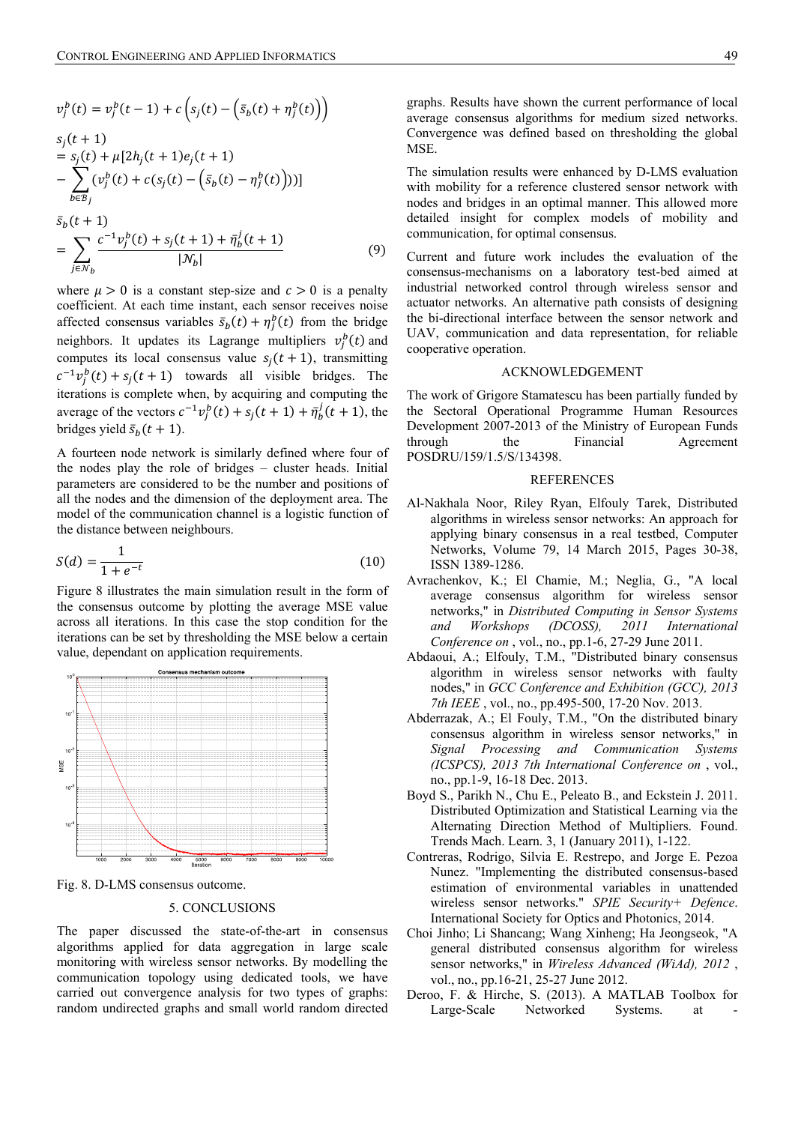$$
v_j^b(t) = v_j^b(t-1) + c\left(s_j(t) - \left(\bar{s}_b(t) + \eta_j^b(t)\right)\right)
$$
  
\n
$$
s_j(t+1)
$$
  
\n
$$
= s_j(t) + \mu[2h_j(t+1)e_j(t+1)
$$
  
\n
$$
- \sum_{b \in \mathcal{B}_j} (v_j^b(t) + c(s_j(t) - \left(\bar{s}_b(t) - \eta_j^b(t)\right)))]
$$
  
\n
$$
\bar{s}_b(t+1)
$$
  
\n
$$
= \sum_{j \in \mathcal{N}_b} \frac{c^{-1}v_j^b(t) + s_j(t+1) + \bar{\eta}_b^j(t+1)}{|N_b|}
$$
 (9)

where  $\mu > 0$  is a constant step-size and  $c > 0$  is a penalty coefficient. At each time instant, each sensor receives noise affected consensus variables  $\bar{s}_b(t) + \eta_j^b(t)$  from the bridge neighbors. It updates its Lagrange multipliers  $v_j^b(t)$  and computes its local consensus value  $s_i(t+1)$ , transmitting  $c^{-1}v_j^b(t) + s_j(t+1)$  towards all visible bridges. The iterations is complete when, by acquiring and computing the average of the vectors  $c^{-1}v_j^b(t) + s_j(t+1) + \bar{\eta}_b^j$  $\frac{j}{h}(t+1)$ , the bridges yield  $\bar{s}_b(t+1)$ .

A fourteen node network is similarly defined where four of the nodes play the role of bridges – cluster heads. Initial parameters are considered to be the number and positions of all the nodes and the dimension of the deployment area. The model of the communication channel is a logistic function of the distance between neighbours.

$$
S(d) = \frac{1}{1 + e^{-t}}\tag{10}
$$

Figure 8 illustrates the main simulation result in the form of the consensus outcome by plotting the average MSE value across all iterations. In this case the stop condition for the iterations can be set by thresholding the MSE below a certain value, dependant on application requirements.



Fig. 8. D-LMS consensus outcome.

## 5. CONCLUSIONS

The paper discussed the state-of-the-art in consensus algorithms applied for data aggregation in large scale monitoring with wireless sensor networks. By modelling the communication topology using dedicated tools, we have carried out convergence analysis for two types of graphs: random undirected graphs and small world random directed graphs. Results have shown the current performance of local average consensus algorithms for medium sized networks. Convergence was defined based on thresholding the global MSE.

The simulation results were enhanced by D-LMS evaluation with mobility for a reference clustered sensor network with nodes and bridges in an optimal manner. This allowed more detailed insight for complex models of mobility and communication, for optimal consensus.

Current and future work includes the evaluation of the consensus-mechanisms on a laboratory test-bed aimed at industrial networked control through wireless sensor and actuator networks. An alternative path consists of designing the bi-directional interface between the sensor network and UAV, communication and data representation, for reliable cooperative operation.

#### ACKNOWLEDGEMENT

The work of Grigore Stamatescu has been partially funded by the Sectoral Operational Programme Human Resources Development 2007-2013 of the Ministry of European Funds through the Financial Agreement POSDRU/159/1.5/S/134398.

#### **REFERENCES**

- Al-Nakhala Noor, Riley Ryan, Elfouly Tarek, Distributed algorithms in wireless sensor networks: An approach for applying binary consensus in a real testbed, Computer Networks, Volume 79, 14 March 2015, Pages 30-38, ISSN 1389-1286.
- Avrachenkov, K.; El Chamie, M.; Neglia, G., "A local average consensus algorithm for wireless sensor networks," in *Distributed Computing in Sensor Systems and Workshops (DCOSS), 2011 International Conference on* , vol., no., pp.1-6, 27-29 June 2011.
- Abdaoui, A.; Elfouly, T.M., "Distributed binary consensus algorithm in wireless sensor networks with faulty nodes," in *GCC Conference and Exhibition (GCC), 2013 7th IEEE* , vol., no., pp.495-500, 17-20 Nov. 2013.
- Abderrazak, A.; El Fouly, T.M., "On the distributed binary consensus algorithm in wireless sensor networks," in *Signal Processing and Communication Systems (ICSPCS), 2013 7th International Conference on* , vol., no., pp.1-9, 16-18 Dec. 2013.
- Boyd S., Parikh N., Chu E., Peleato B., and Eckstein J. 2011. Distributed Optimization and Statistical Learning via the Alternating Direction Method of Multipliers. Found. Trends Mach. Learn. 3, 1 (January 2011), 1-122.
- Contreras, Rodrigo, Silvia E. Restrepo, and Jorge E. Pezoa Nunez. "Implementing the distributed consensus-based estimation of environmental variables in unattended wireless sensor networks." *SPIE Security+ Defence*. International Society for Optics and Photonics, 2014.
- Choi Jinho; Li Shancang; Wang Xinheng; Ha Jeongseok, "A general distributed consensus algorithm for wireless sensor networks," in *Wireless Advanced (WiAd), 2012* , vol., no., pp.16-21, 25-27 June 2012.
- Deroo, F. & Hirche, S. (2013). A MATLAB Toolbox for Large-Scale Networked Systems. at